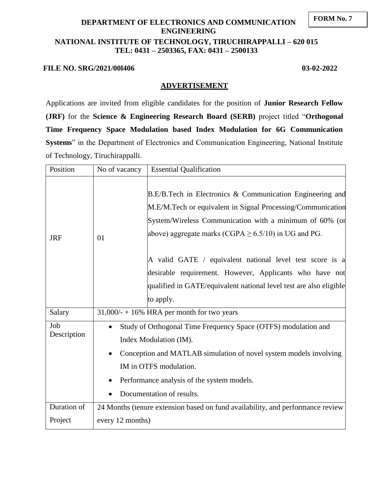#### **FORM No. 7**

# **DEPARTMENT OF ELECTRONICS AND COMMUNICATION ENGINEERING NATIONAL INSTITUTE OF TECHNOLOGY, TIRUCHIRAPPALLI – 620 015 TEL: 0431 – 2503365, FAX: 0431 – 2500133**

#### **FILE NO. SRG/2021/00l406 03-02-2022**

#### **ADVERTISEMENT**

Applications are invited from eligible candidates for the position of **Junior Research Fellow (JRF)** for the **Science & Engineering Research Board (SERB)** project titled "**Orthogonal Time Frequency Space Modulation based Index Modulation for 6G Communication Systems**" in the Department of Electronics and Communication Engineering, National Institute of Technology, Tiruchirappalli.

| Position    | No of vacancy                                                                  | <b>Essential Qualification</b>                                                                                                                                                                                                                                                                               |  |
|-------------|--------------------------------------------------------------------------------|--------------------------------------------------------------------------------------------------------------------------------------------------------------------------------------------------------------------------------------------------------------------------------------------------------------|--|
| <b>JRF</b>  | 01                                                                             | B.E/B.Tech in Electronics & Communication Engineering and<br>M.E/M.Tech or equivalent in Signal Processing/Communication<br>System/Wireless Communication with a minimum of 60% (or<br>above) aggregate marks (CGPA $\geq$ 6.5/10) in UG and PG.<br>A valid GATE / equivalent national level test score is a |  |
|             |                                                                                | desirable requirement. However, Applicants who have not                                                                                                                                                                                                                                                      |  |
|             |                                                                                | qualified in GATE/equivalent national level test are also eligible                                                                                                                                                                                                                                           |  |
|             |                                                                                | to apply.                                                                                                                                                                                                                                                                                                    |  |
| Salary      | $31,000/ - +16\%$ HRA per month for two years                                  |                                                                                                                                                                                                                                                                                                              |  |
| Job         | Study of Orthogonal Time Frequency Space (OTFS) modulation and<br>$\bullet$    |                                                                                                                                                                                                                                                                                                              |  |
| Description | Index Modulation (IM).                                                         |                                                                                                                                                                                                                                                                                                              |  |
|             | Conception and MATLAB simulation of novel system models involving<br>$\bullet$ |                                                                                                                                                                                                                                                                                                              |  |
|             | IM in OTFS modulation.                                                         |                                                                                                                                                                                                                                                                                                              |  |
|             | Performance analysis of the system models.                                     |                                                                                                                                                                                                                                                                                                              |  |
|             | Documentation of results.                                                      |                                                                                                                                                                                                                                                                                                              |  |
| Duration of | 24 Months (tenure extension based on fund availability, and performance review |                                                                                                                                                                                                                                                                                                              |  |
| Project     | every 12 months)                                                               |                                                                                                                                                                                                                                                                                                              |  |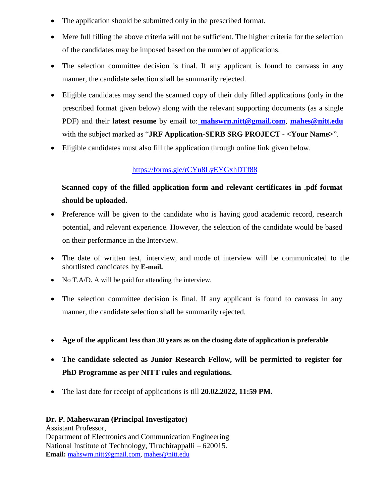- The application should be submitted only in the prescribed format.
- Mere full filling the above criteria will not be sufficient. The higher criteria for the selection of the candidates may be imposed based on the number of applications.
- The selection committee decision is final. If any applicant is found to canvass in any manner, the candidate selection shall be summarily rejected.
- Eligible candidates may send the scanned copy of their duly filled applications (only in the prescribed format given below) along with the relevant supporting documents (as a single PDF) and their **latest resume** by email to: **mahswrn.nitt@gmail.com**, **mahes@nitt.edu** with the subject marked as "**JRF Application-SERB SRG PROJECT - <Your Name>**".
- Eligible candidates must also fill the application through online link given below.

## https://forms.gle/rCYu8LyEYGxhDTf88

# **Scanned copy of the filled application form and relevant certificates in .pdf format should be uploaded.**

- Preference will be given to the candidate who is having good academic record, research potential, and relevant experience. However, the selection of the candidate would be based on their performance in the Interview.
- The date of written test, interview, and mode of interview will be communicated to the shortlisted candidates by **E-mail.**
- No T.A/D. A will be paid for attending the interview.
- The selection committee decision is final. If any applicant is found to canvass in any manner, the candidate selection shall be summarily rejected.
- **Age of the applicant less than 30 years as on the closing date of application is preferable**
- **The candidate selected as Junior Research Fellow, will be permitted to register for PhD Programme as per NITT rules and regulations.**
- The last date for receipt of applications is till **20.02.2022, 11:59 PM.**

#### **Dr. P. Maheswaran (Principal Investigator)**

Assistant Professor, Department of Electronics and Communication Engineering National Institute of Technology, Tiruchirappalli – 620015. **Email:** mahswrn.nitt@gmail.com, mahes@nitt.edu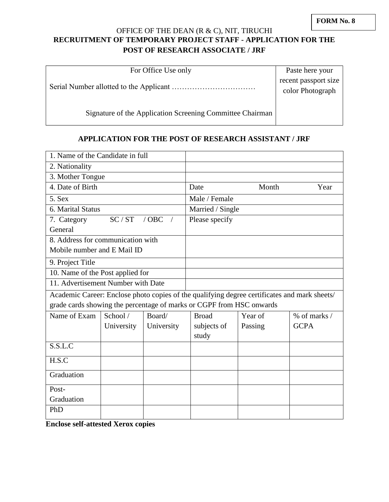# OFFICE OF THE DEAN (R & C), NIT, TIRUCHI **RECRUITMENT OF TEMPORARY PROJECT STAFF - APPLICATION FOR THE POST OF RESEARCH ASSOCIATE / JRF**

| For Office Use only                                       | Paste here your      |
|-----------------------------------------------------------|----------------------|
|                                                           | recent passport size |
|                                                           | color Photograph     |
|                                                           |                      |
| Signature of the Application Screening Committee Chairman |                      |
|                                                           |                      |

### **APPLICATION FOR THE POST OF RESEARCH ASSISTANT / JRF**

| 1. Name of the Candidate in full                                                             |            |            |                  |         |                  |  |
|----------------------------------------------------------------------------------------------|------------|------------|------------------|---------|------------------|--|
| 2. Nationality                                                                               |            |            |                  |         |                  |  |
| 3. Mother Tongue                                                                             |            |            |                  |         |                  |  |
| 4. Date of Birth                                                                             |            |            | Date             | Month   | Year             |  |
| 5. Sex                                                                                       |            |            | Male / Female    |         |                  |  |
| 6. Marital Status                                                                            |            |            | Married / Single |         |                  |  |
| SC/ST<br>$/$ OBC<br>7. Category                                                              |            |            | Please specify   |         |                  |  |
| General                                                                                      |            |            |                  |         |                  |  |
| 8. Address for communication with                                                            |            |            |                  |         |                  |  |
| Mobile number and E Mail ID                                                                  |            |            |                  |         |                  |  |
| 9. Project Title                                                                             |            |            |                  |         |                  |  |
| 10. Name of the Post applied for                                                             |            |            |                  |         |                  |  |
| 11. Advertisement Number with Date                                                           |            |            |                  |         |                  |  |
| Academic Career: Enclose photo copies of the qualifying degree certificates and mark sheets/ |            |            |                  |         |                  |  |
| grade cards showing the percentage of marks or CGPF from HSC onwards                         |            |            |                  |         |                  |  |
| Name of Exam                                                                                 | School /   | Board/     | <b>Broad</b>     | Year of | $%$ of marks $/$ |  |
|                                                                                              | University | University | subjects of      | Passing | <b>GCPA</b>      |  |
|                                                                                              |            |            | study            |         |                  |  |
| S.S.L.C                                                                                      |            |            |                  |         |                  |  |
| H.S.C                                                                                        |            |            |                  |         |                  |  |
| Graduation                                                                                   |            |            |                  |         |                  |  |
| Post-                                                                                        |            |            |                  |         |                  |  |
| Graduation                                                                                   |            |            |                  |         |                  |  |
| PhD                                                                                          |            |            |                  |         |                  |  |

**Enclose self-attested Xerox copies**